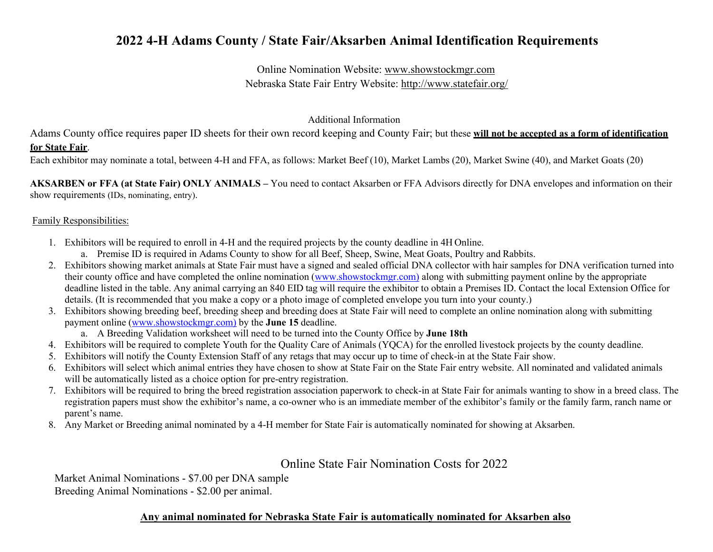## **2022 4-H Adams County / State Fair/Aksarben Animal Identification Requirements**

Online Nomination Website: [www.showstockmgr.com](http://www.showstockmgr.com/) Nebraska State Fair Entry Website:<http://www.statefair.org/>

Additional Information

Adams County office requires paper ID sheets for their own record keeping and County Fair; but these **will not be accepted as a form of identification for State Fair**.

Each exhibitor may nominate a total, between 4-H and FFA, as follows: Market Beef (10), Market Lambs (20), Market Swine (40), and Market Goats (20)

**AKSARBEN or FFA (at State Fair) ONLY ANIMALS –** You need to contact Aksarben or FFA Advisors directly for DNA envelopes and information on their show requirements (IDs, nominating, entry).

#### Family Responsibilities:

- 1. Exhibitors will be required to enroll in 4-H and the required projects by the county deadline in 4H Online.
	- a. Premise ID is required in Adams County to show for all Beef, Sheep, Swine, Meat Goats, Poultry and Rabbits.
- 2. Exhibitors showing market animals at State Fair must have a signed and sealed official DNA collector with hair samples for DNA verification turned into their county office and have completed the online nomination [\(www.showstockmgr.com\)](http://www.showstockmgr.com/) along with submitting payment online by the appropriate deadline listed in the table. Any animal carrying an 840 EID tag will require the exhibitor to obtain a Premises ID. Contact the local Extension Office for details. (It is recommended that you make a copy or a photo image of completed envelope you turn into your county.)
- 3. Exhibitors showing breeding beef, breeding sheep and breeding does at State Fair will need to complete an online nomination along with submitting payment online [\(www.showstockmgr.com\)](http://www.showstockmgr.com/) by the **June 15** deadline.
	- a. A Breeding Validation worksheet will need to be turned into the County Office by **June 18th**
- 4. Exhibitors will be required to complete Youth for the Quality Care of Animals (YQCA) for the enrolled livestock projects by the county deadline.
- 5. Exhibitors will notify the County Extension Staff of any retags that may occur up to time of check-in at the State Fair show.
- 6. Exhibitors will select which animal entries they have chosen to show at State Fair on the State Fair entry website. All nominated and validated animals will be automatically listed as a choice option for pre-entry registration.
- 7. Exhibitors will be required to bring the breed registration association paperwork to check-in at State Fair for animals wanting to show in a breed class. The registration papers must show the exhibitor's name, a co-owner who is an immediate member of the exhibitor's family or the family farm, ranch name or parent's name.
- 8. Any Market or Breeding animal nominated by a 4-H member for State Fair is automatically nominated for showing at Aksarben.

Online State Fair Nomination Costs for 2022

Market Animal Nominations - \$7.00 per DNA sample Breeding Animal Nominations - \$2.00 per animal.

### **Any animal nominated for Nebraska State Fair is automatically nominated for Aksarben also**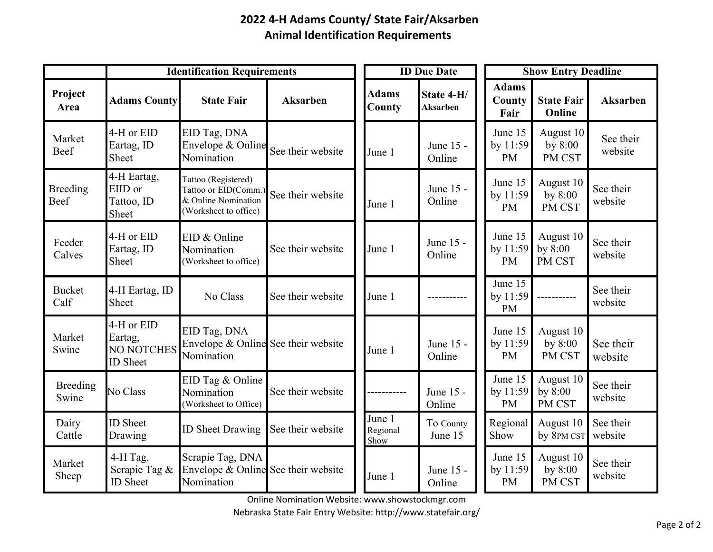# **2022 4-H Adams County/ State Fair/Aksarben Animal Identification Requirements**

|                         | <b>Identification Requirements</b>                            |                                                                                             |                   |  | <b>ID Due Date</b>         |                               | <b>Show Entry Deadline</b> |                                  |                                  |                      |
|-------------------------|---------------------------------------------------------------|---------------------------------------------------------------------------------------------|-------------------|--|----------------------------|-------------------------------|----------------------------|----------------------------------|----------------------------------|----------------------|
| Project<br>Area         | <b>Adams County</b>                                           | <b>State Fair</b>                                                                           | <b>Aksarben</b>   |  | <b>Adams</b><br>County     | State 4-H/<br><b>Aksarben</b> |                            | <b>Adams</b><br>County<br>Fair   | <b>State Fair</b><br>Online      | <b>Aksarben</b>      |
| Market<br>Beef          | 4-H or EID<br>Eartag, ID<br>Sheet                             | EID Tag, DNA<br>Envelope & Online<br>Nomination                                             | See their website |  | June 1                     | June 15 -<br>Online           |                            | June 15<br>by 11:59<br><b>PM</b> | August 10<br>by $8:00$<br>PM CST | See their<br>website |
| <b>Breeding</b><br>Beef | 4-H Eartag,<br>EIID or<br>Tattoo, ID<br>Sheet                 | Tattoo (Registered)<br>Tattoo or EID(Comm.)<br>& Online Nomination<br>(Worksheet to office) | See their website |  | June 1                     | June 15 -<br>Online           |                            | June 15<br>by 11:59<br><b>PM</b> | August 10<br>by $8:00$<br>PM CST | See their<br>website |
| Feeder<br>Calves        | 4-H or EID<br>Eartag, ID<br>Sheet                             | EID & Online<br>Nomination<br>(Worksheet to office)                                         | See their website |  | June 1                     | June 15 -<br>Online           |                            | June 15<br>by 11:59<br><b>PM</b> | August 10<br>by $8:00$<br>PM CST | See their<br>website |
| <b>Bucket</b><br>Calf   | 4-H Eartag, ID<br>Sheet                                       | No Class                                                                                    | See their website |  | June 1                     |                               |                            | June 15<br>by 11:59<br><b>PM</b> |                                  | See their<br>website |
| Market<br>Swine         | 4-H or EID<br>Eartag,<br><b>NO NOTCHES</b><br><b>ID</b> Sheet | EID Tag, DNA<br>Envelope & Online See their website<br>Nomination                           |                   |  | June 1                     | June 15 -<br>Online           |                            | June 15<br>by 11:59<br><b>PM</b> | August 10<br>by $8:00$<br>PM CST | See their<br>website |
| Breeding<br>Swine       | No Class                                                      | EID Tag & Online<br>Nomination<br>(Worksheet to Office)                                     | See their website |  |                            | June 15 -<br>Online           |                            | June 15<br>by 11:59<br><b>PM</b> | August 10<br>by $8:00$<br>PM CST | See their<br>website |
| Dairy<br>Cattle         | <b>ID</b> Sheet<br>Drawing                                    | <b>ID Sheet Drawing</b>                                                                     | See their website |  | June 1<br>Regional<br>Show | To County<br>June 15          |                            | Regional<br>Show                 | August 10<br>by 8PM CST          | See their<br>website |
| Market<br>Sheep         | 4-H Tag,<br>Scrapie Tag &<br><b>ID</b> Sheet                  | Scrapie Tag, DNA<br>Envelope & Online See their website<br>Nomination                       |                   |  | June 1                     | June 15 -<br>Online           |                            | June 15<br>by 11:59<br><b>PM</b> | August 10<br>by $8:00$<br>PM CST | See their<br>website |

Online Nomination Website: [www.showstockmgr.com](http://www.showstockmgr.com/)

Nebraska State Fair Entry Website:<http://www.statefair.org/>